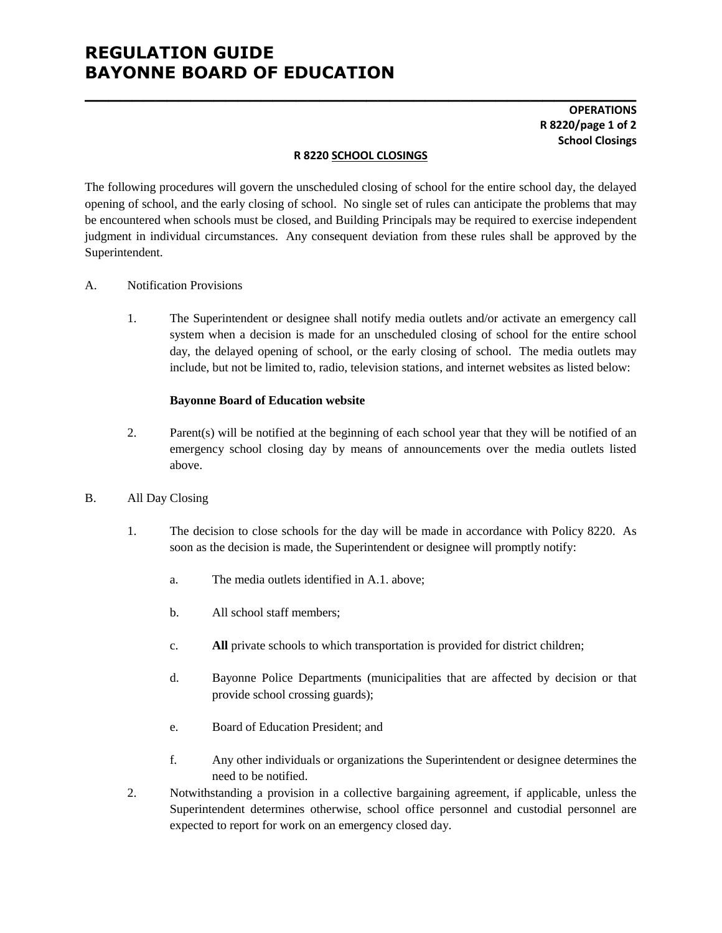# **REGULATION GUIDE BAYONNE BOARD OF EDUCATION**

## **OPERATIONS R 8220/page 1 of 2 School Closings**

#### **R 8220 SCHOOL CLOSINGS**

**\_\_\_\_\_\_\_\_\_\_\_\_\_\_\_\_\_\_\_\_\_\_\_\_\_\_\_\_\_\_\_\_\_\_\_\_\_\_\_\_\_\_\_\_\_\_\_**

The following procedures will govern the unscheduled closing of school for the entire school day, the delayed opening of school, and the early closing of school. No single set of rules can anticipate the problems that may be encountered when schools must be closed, and Building Principals may be required to exercise independent judgment in individual circumstances. Any consequent deviation from these rules shall be approved by the Superintendent.

#### A. Notification Provisions

1. The Superintendent or designee shall notify media outlets and/or activate an emergency call system when a decision is made for an unscheduled closing of school for the entire school day, the delayed opening of school, or the early closing of school. The media outlets may include, but not be limited to, radio, television stations, and internet websites as listed below:

#### **Bayonne Board of Education website**

2. Parent(s) will be notified at the beginning of each school year that they will be notified of an emergency school closing day by means of announcements over the media outlets listed above.

#### B. All Day Closing

- 1. The decision to close schools for the day will be made in accordance with Policy 8220. As soon as the decision is made, the Superintendent or designee will promptly notify:
	- a. The media outlets identified in A.1. above;
	- b. All school staff members;
	- c. **All** private schools to which transportation is provided for district children;
	- d. Bayonne Police Departments (municipalities that are affected by decision or that provide school crossing guards);
	- e. Board of Education President; and
	- f. Any other individuals or organizations the Superintendent or designee determines the need to be notified.
- 2. Notwithstanding a provision in a collective bargaining agreement, if applicable, unless the Superintendent determines otherwise, school office personnel and custodial personnel are expected to report for work on an emergency closed day.